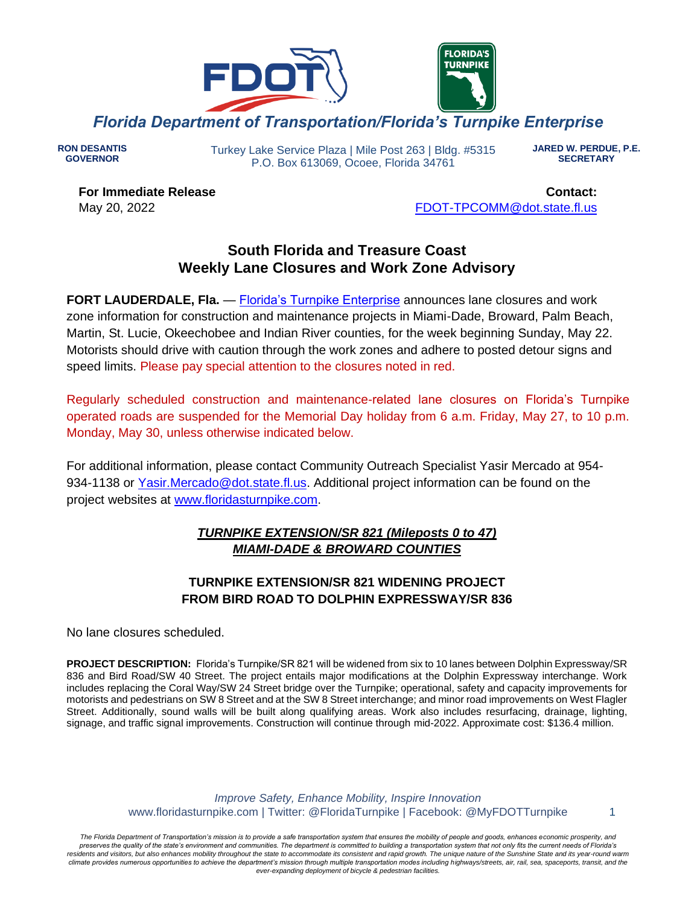

**RON DESANTIS GOVERNOR**

Turkey Lake Service Plaza | Mile Post 263 | Bldg. #5315 P.O. Box 613069, Ocoee, Florida 34761

**JARED W. PERDUE, P.E. SECRETARY**

**For Immediate Release** May 20, 2022

**Contact:** [FDOT-TPCOMM@dot.state.fl.us](mailto:fdot-tpcomm@dot.state.fl.us)

# **South Florida and Treasure Coast Weekly Lane Closures and Work Zone Advisory**

**FORT LAUDERDALE, Fla.** — [Florida's Turnpike Enterprise](http://www.floridasturnpike.com/) announces lane closures and work zone information for construction and maintenance projects in Miami-Dade, Broward, Palm Beach, Martin, St. Lucie, Okeechobee and Indian River counties, for the week beginning Sunday, May 22. Motorists should drive with caution through the work zones and adhere to posted detour signs and speed limits. Please pay special attention to the closures noted in red.

Regularly scheduled construction and maintenance-related lane closures on Florida's Turnpike operated roads are suspended for the Memorial Day holiday from 6 a.m. Friday, May 27, to 10 p.m. Monday, May 30, unless otherwise indicated below.

For additional information, please contact Community Outreach Specialist Yasir Mercado at 954- 934-1138 or [Yasir.Mercado@dot.state.fl.us.](mailto:Yasir.Mercado@dot.state.fl.us) Additional project information can be found on the project websites at [www.floridasturnpike.com.](http://www.floridasturnpike.com/)

# *TURNPIKE EXTENSION/SR 821 (Mileposts 0 to 47) MIAMI-DADE & BROWARD COUNTIES*

# **TURNPIKE EXTENSION/SR 821 WIDENING PROJECT FROM BIRD ROAD TO DOLPHIN EXPRESSWAY/SR 836**

No lane closures scheduled.

**PROJECT DESCRIPTION:** Florida's Turnpike/SR 821 will be widened from six to 10 lanes between Dolphin Expressway/SR 836 and Bird Road/SW 40 Street. The project entails major modifications at the Dolphin Expressway interchange. Work includes replacing the Coral Way/SW 24 Street bridge over the Turnpike; operational, safety and capacity improvements for motorists and pedestrians on SW 8 Street and at the SW 8 Street interchange; and minor road improvements on West Flagler Street. Additionally, sound walls will be built along qualifying areas. Work also includes resurfacing, drainage, lighting, signage, and traffic signal improvements. Construction will continue through mid-2022. Approximate cost: \$136.4 million.

> *Improve Safety, Enhance Mobility, Inspire Innovation* www.floridasturnpike.com | Twitter: @FloridaTurnpike | Facebook: @MyFDOTTurnpike 1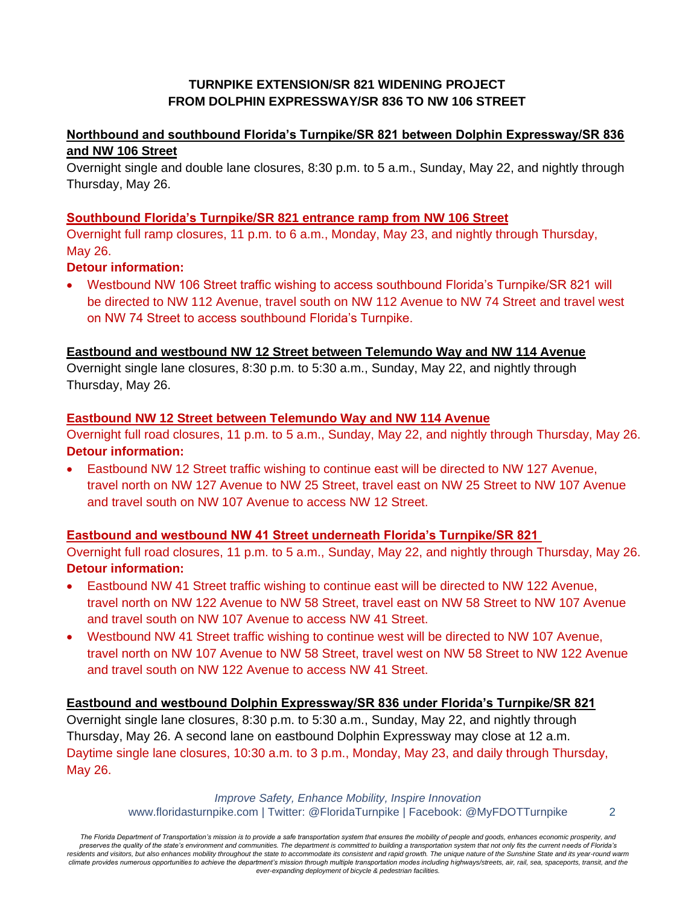## **TURNPIKE EXTENSION/SR 821 WIDENING PROJECT FROM DOLPHIN EXPRESSWAY/SR 836 TO NW 106 STREET**

# **Northbound and southbound Florida's Turnpike/SR 821 between Dolphin Expressway/SR 836 and NW 106 Street**

Overnight single and double lane closures, 8:30 p.m. to 5 a.m., Sunday, May 22, and nightly through Thursday, May 26.

### **Southbound Florida's Turnpike/SR 821 entrance ramp from NW 106 Street**

Overnight full ramp closures, 11 p.m. to 6 a.m., Monday, May 23, and nightly through Thursday, May 26.

## **Detour information:**

• Westbound NW 106 Street traffic wishing to access southbound Florida's Turnpike/SR 821 will be directed to NW 112 Avenue, travel south on NW 112 Avenue to NW 74 Street and travel west on NW 74 Street to access southbound Florida's Turnpike.

### **Eastbound and westbound NW 12 Street between Telemundo Way and NW 114 Avenue**

Overnight single lane closures, 8:30 p.m. to 5:30 a.m., Sunday, May 22, and nightly through Thursday, May 26.

### **Eastbound NW 12 Street between Telemundo Way and NW 114 Avenue**

Overnight full road closures, 11 p.m. to 5 a.m., Sunday, May 22, and nightly through Thursday, May 26. **Detour information:**

• Eastbound NW 12 Street traffic wishing to continue east will be directed to NW 127 Avenue, travel north on NW 127 Avenue to NW 25 Street, travel east on NW 25 Street to NW 107 Avenue and travel south on NW 107 Avenue to access NW 12 Street.

### **Eastbound and westbound NW 41 Street underneath Florida's Turnpike/SR 821**

Overnight full road closures, 11 p.m. to 5 a.m., Sunday, May 22, and nightly through Thursday, May 26. **Detour information:**

- Eastbound NW 41 Street traffic wishing to continue east will be directed to NW 122 Avenue, travel north on NW 122 Avenue to NW 58 Street, travel east on NW 58 Street to NW 107 Avenue and travel south on NW 107 Avenue to access NW 41 Street.
- Westbound NW 41 Street traffic wishing to continue west will be directed to NW 107 Avenue, travel north on NW 107 Avenue to NW 58 Street, travel west on NW 58 Street to NW 122 Avenue and travel south on NW 122 Avenue to access NW 41 Street.

### **Eastbound and westbound Dolphin Expressway/SR 836 under Florida's Turnpike/SR 821**

Overnight single lane closures, 8:30 p.m. to 5:30 a.m., Sunday, May 22, and nightly through Thursday, May 26. A second lane on eastbound Dolphin Expressway may close at 12 a.m. Daytime single lane closures, 10:30 a.m. to 3 p.m., Monday, May 23, and daily through Thursday, May 26.

> *Improve Safety, Enhance Mobility, Inspire Innovation* www.floridasturnpike.com | Twitter: @FloridaTurnpike | Facebook: @MyFDOTTurnpike 2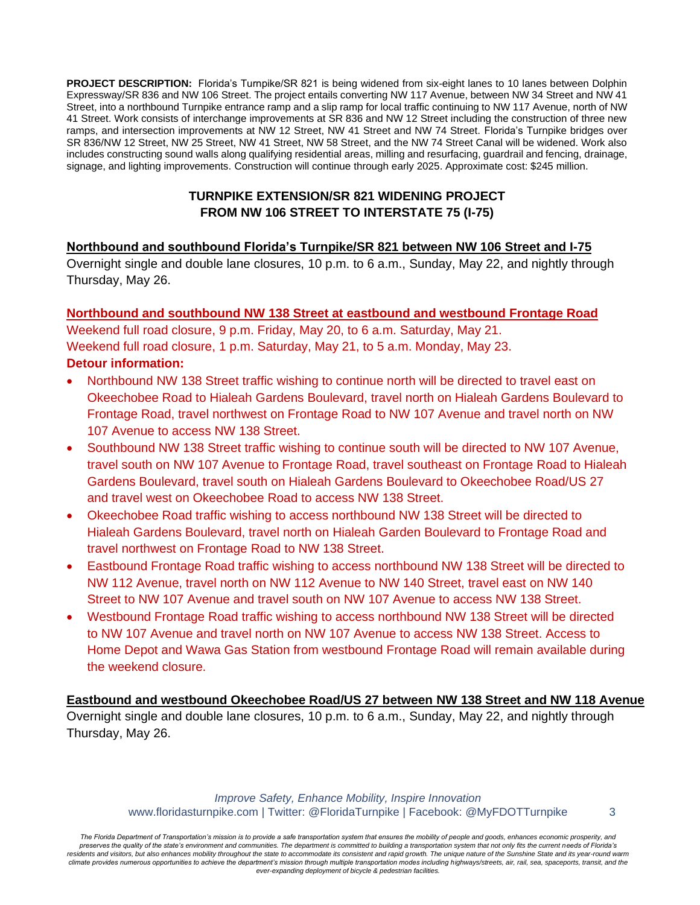**PROJECT DESCRIPTION:** Florida's Turnpike/SR 821 is being widened from six-eight lanes to 10 lanes between Dolphin Expressway/SR 836 and NW 106 Street. The project entails converting NW 117 Avenue, between NW 34 Street and NW 41 Street, into a northbound Turnpike entrance ramp and a slip ramp for local traffic continuing to NW 117 Avenue, north of NW 41 Street. Work consists of interchange improvements at SR 836 and NW 12 Street including the construction of three new ramps, and intersection improvements at NW 12 Street, NW 41 Street and NW 74 Street. Florida's Turnpike bridges over SR 836/NW 12 Street, NW 25 Street, NW 41 Street, NW 58 Street, and the NW 74 Street Canal will be widened. Work also includes constructing sound walls along qualifying residential areas, milling and resurfacing, guardrail and fencing, drainage, signage, and lighting improvements. Construction will continue through early 2025. Approximate cost: \$245 million.

# **TURNPIKE EXTENSION/SR 821 WIDENING PROJECT FROM NW 106 STREET TO INTERSTATE 75 (I-75)**

## **Northbound and southbound Florida's Turnpike/SR 821 between NW 106 Street and I-75**

Overnight single and double lane closures, 10 p.m. to 6 a.m., Sunday, May 22, and nightly through Thursday, May 26.

### **Northbound and southbound NW 138 Street at eastbound and westbound Frontage Road**

Weekend full road closure, 9 p.m. Friday, May 20, to 6 a.m. Saturday, May 21. Weekend full road closure, 1 p.m. Saturday, May 21, to 5 a.m. Monday, May 23. **Detour information:**

- Northbound NW 138 Street traffic wishing to continue north will be directed to travel east on Okeechobee Road to Hialeah Gardens Boulevard, travel north on Hialeah Gardens Boulevard to Frontage Road, travel northwest on Frontage Road to NW 107 Avenue and travel north on NW 107 Avenue to access NW 138 Street.
- Southbound NW 138 Street traffic wishing to continue south will be directed to NW 107 Avenue, travel south on NW 107 Avenue to Frontage Road, travel southeast on Frontage Road to Hialeah Gardens Boulevard, travel south on Hialeah Gardens Boulevard to Okeechobee Road/US 27 and travel west on Okeechobee Road to access NW 138 Street.
- Okeechobee Road traffic wishing to access northbound NW 138 Street will be directed to Hialeah Gardens Boulevard, travel north on Hialeah Garden Boulevard to Frontage Road and travel northwest on Frontage Road to NW 138 Street.
- Eastbound Frontage Road traffic wishing to access northbound NW 138 Street will be directed to NW 112 Avenue, travel north on NW 112 Avenue to NW 140 Street, travel east on NW 140 Street to NW 107 Avenue and travel south on NW 107 Avenue to access NW 138 Street.
- Westbound Frontage Road traffic wishing to access northbound NW 138 Street will be directed to NW 107 Avenue and travel north on NW 107 Avenue to access NW 138 Street. Access to Home Depot and Wawa Gas Station from westbound Frontage Road will remain available during the weekend closure.

**Eastbound and westbound Okeechobee Road/US 27 between NW 138 Street and NW 118 Avenue** Overnight single and double lane closures, 10 p.m. to 6 a.m., Sunday, May 22, and nightly through Thursday, May 26.

> *Improve Safety, Enhance Mobility, Inspire Innovation* www.floridasturnpike.com | Twitter: @FloridaTurnpike | Facebook: @MyFDOTTurnpike 3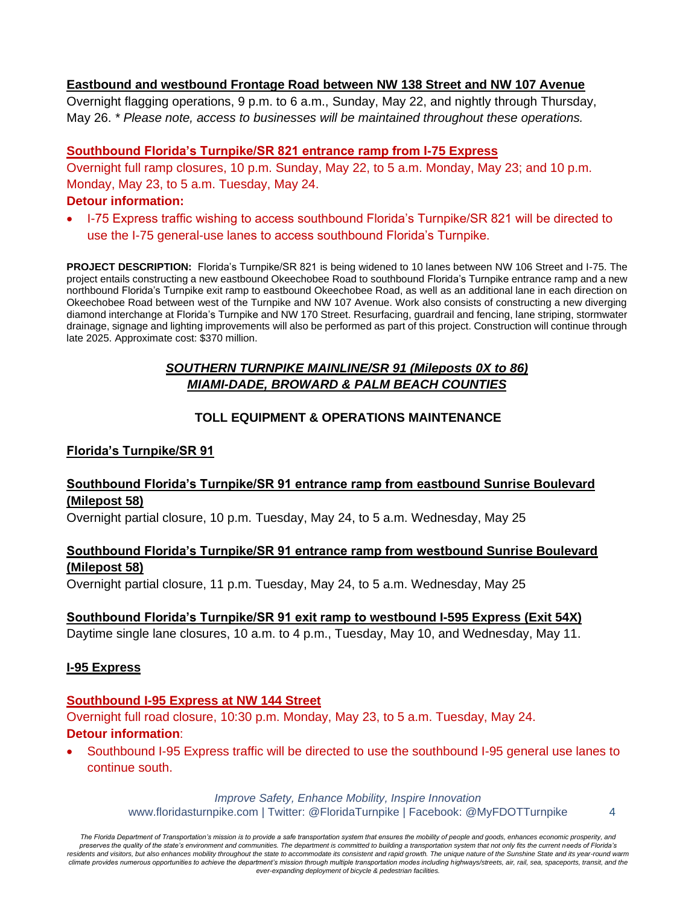### **Eastbound and westbound Frontage Road between NW 138 Street and NW 107 Avenue**

Overnight flagging operations, 9 p.m. to 6 a.m., Sunday, May 22, and nightly through Thursday, May 26. *\* Please note, access to businesses will be maintained throughout these operations.*

### **Southbound Florida's Turnpike/SR 821 entrance ramp from I-75 Express**

Overnight full ramp closures, 10 p.m. Sunday, May 22, to 5 a.m. Monday, May 23; and 10 p.m. Monday, May 23, to 5 a.m. Tuesday, May 24.

#### **Detour information:**

• I-75 Express traffic wishing to access southbound Florida's Turnpike/SR 821 will be directed to use the I-75 general-use lanes to access southbound Florida's Turnpike.

**PROJECT DESCRIPTION:** Florida's Turnpike/SR 821 is being widened to 10 lanes between NW 106 Street and I-75. The project entails constructing a new eastbound Okeechobee Road to southbound Florida's Turnpike entrance ramp and a new northbound Florida's Turnpike exit ramp to eastbound Okeechobee Road, as well as an additional lane in each direction on Okeechobee Road between west of the Turnpike and NW 107 Avenue. Work also consists of constructing a new diverging diamond interchange at Florida's Turnpike and NW 170 Street. Resurfacing, guardrail and fencing, lane striping, stormwater drainage, signage and lighting improvements will also be performed as part of this project. Construction will continue through late 2025. Approximate cost: \$370 million.

# *SOUTHERN TURNPIKE MAINLINE/SR 91 (Mileposts 0X to 86) MIAMI-DADE, BROWARD & PALM BEACH COUNTIES*

# **TOLL EQUIPMENT & OPERATIONS MAINTENANCE**

### **Florida's Turnpike/SR 91**

## **Southbound Florida's Turnpike/SR 91 entrance ramp from eastbound Sunrise Boulevard (Milepost 58)**

Overnight partial closure, 10 p.m. Tuesday, May 24, to 5 a.m. Wednesday, May 25

### **Southbound Florida's Turnpike/SR 91 entrance ramp from westbound Sunrise Boulevard (Milepost 58)**

Overnight partial closure, 11 p.m. Tuesday, May 24, to 5 a.m. Wednesday, May 25

### **Southbound Florida's Turnpike/SR 91 exit ramp to westbound I-595 Express (Exit 54X)**

Daytime single lane closures, 10 a.m. to 4 p.m., Tuesday, May 10, and Wednesday, May 11.

### **I-95 Express**

## **Southbound I-95 Express at NW 144 Street**

Overnight full road closure, 10:30 p.m. Monday, May 23, to 5 a.m. Tuesday, May 24. **Detour information**:

• Southbound I-95 Express traffic will be directed to use the southbound I-95 general use lanes to continue south.

> *Improve Safety, Enhance Mobility, Inspire Innovation* www.floridasturnpike.com | Twitter: @FloridaTurnpike | Facebook: @MyFDOTTurnpike 4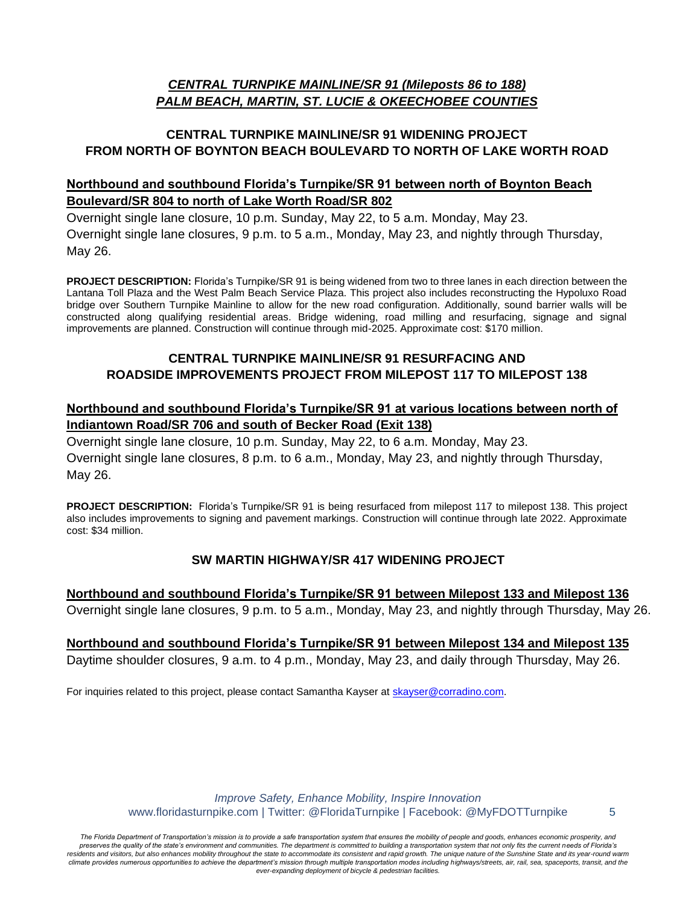# *CENTRAL TURNPIKE MAINLINE/SR 91 (Mileposts 86 to 188) PALM BEACH, MARTIN, ST. LUCIE & OKEECHOBEE COUNTIES*

# **CENTRAL TURNPIKE MAINLINE/SR 91 WIDENING PROJECT FROM NORTH OF BOYNTON BEACH BOULEVARD TO NORTH OF LAKE WORTH ROAD**

# **Northbound and southbound Florida's Turnpike/SR 91 between north of Boynton Beach Boulevard/SR 804 to north of Lake Worth Road/SR 802**

Overnight single lane closure, 10 p.m. Sunday, May 22, to 5 a.m. Monday, May 23. Overnight single lane closures, 9 p.m. to 5 a.m., Monday, May 23, and nightly through Thursday, May 26.

**PROJECT DESCRIPTION:** Florida's Turnpike/SR 91 is being widened from two to three lanes in each direction between the Lantana Toll Plaza and the West Palm Beach Service Plaza. This project also includes reconstructing the Hypoluxo Road bridge over Southern Turnpike Mainline to allow for the new road configuration. Additionally, sound barrier walls will be constructed along qualifying residential areas. Bridge widening, road milling and resurfacing, signage and signal improvements are planned. Construction will continue through mid-2025. Approximate cost: \$170 million.

# **CENTRAL TURNPIKE MAINLINE/SR 91 RESURFACING AND ROADSIDE IMPROVEMENTS PROJECT FROM MILEPOST 117 TO MILEPOST 138**

## **Northbound and southbound Florida's Turnpike/SR 91 at various locations between north of Indiantown Road/SR 706 and south of Becker Road (Exit 138)**

Overnight single lane closure, 10 p.m. Sunday, May 22, to 6 a.m. Monday, May 23. Overnight single lane closures, 8 p.m. to 6 a.m., Monday, May 23, and nightly through Thursday, May 26.

**PROJECT DESCRIPTION:** Florida's Turnpike/SR 91 is being resurfaced from milepost 117 to milepost 138. This project also includes improvements to signing and pavement markings. Construction will continue through late 2022. Approximate cost: \$34 million.

# **SW MARTIN HIGHWAY/SR 417 WIDENING PROJECT**

**Northbound and southbound Florida's Turnpike/SR 91 between Milepost 133 and Milepost 136** Overnight single lane closures, 9 p.m. to 5 a.m., Monday, May 23, and nightly through Thursday, May 26.

**Northbound and southbound Florida's Turnpike/SR 91 between Milepost 134 and Milepost 135** Daytime shoulder closures, 9 a.m. to 4 p.m., Monday, May 23, and daily through Thursday, May 26.

For inquiries related to this project, please contact Samantha Kayser at [skayser@corradino.com.](mailto:skayser@corradino.com)

*Improve Safety, Enhance Mobility, Inspire Innovation* www.floridasturnpike.com | Twitter: @FloridaTurnpike | Facebook: @MyFDOTTurnpike 5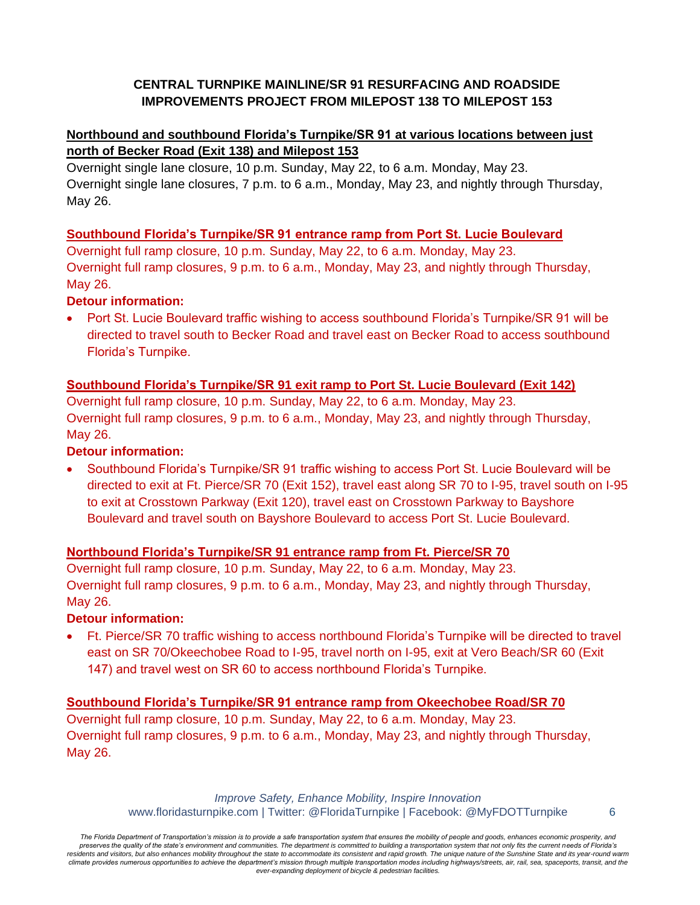# **CENTRAL TURNPIKE MAINLINE/SR 91 RESURFACING AND ROADSIDE IMPROVEMENTS PROJECT FROM MILEPOST 138 TO MILEPOST 153**

# **Northbound and southbound Florida's Turnpike/SR 91 at various locations between just north of Becker Road (Exit 138) and Milepost 153**

Overnight single lane closure, 10 p.m. Sunday, May 22, to 6 a.m. Monday, May 23. Overnight single lane closures, 7 p.m. to 6 a.m., Monday, May 23, and nightly through Thursday, May 26.

## **Southbound Florida's Turnpike/SR 91 entrance ramp from Port St. Lucie Boulevard**

Overnight full ramp closure, 10 p.m. Sunday, May 22, to 6 a.m. Monday, May 23. Overnight full ramp closures, 9 p.m. to 6 a.m., Monday, May 23, and nightly through Thursday, May 26.

# **Detour information:**

• Port St. Lucie Boulevard traffic wishing to access southbound Florida's Turnpike/SR 91 will be directed to travel south to Becker Road and travel east on Becker Road to access southbound Florida's Turnpike.

# **Southbound Florida's Turnpike/SR 91 exit ramp to Port St. Lucie Boulevard (Exit 142)**

Overnight full ramp closure, 10 p.m. Sunday, May 22, to 6 a.m. Monday, May 23. Overnight full ramp closures, 9 p.m. to 6 a.m., Monday, May 23, and nightly through Thursday, May 26.

## **Detour information:**

• Southbound Florida's Turnpike/SR 91 traffic wishing to access Port St. Lucie Boulevard will be directed to exit at Ft. Pierce/SR 70 (Exit 152), travel east along SR 70 to I-95, travel south on I-95 to exit at Crosstown Parkway (Exit 120), travel east on Crosstown Parkway to Bayshore Boulevard and travel south on Bayshore Boulevard to access Port St. Lucie Boulevard.

# **Northbound Florida's Turnpike/SR 91 entrance ramp from Ft. Pierce/SR 70**

Overnight full ramp closure, 10 p.m. Sunday, May 22, to 6 a.m. Monday, May 23. Overnight full ramp closures, 9 p.m. to 6 a.m., Monday, May 23, and nightly through Thursday, May 26.

### **Detour information:**

• Ft. Pierce/SR 70 traffic wishing to access northbound Florida's Turnpike will be directed to travel east on SR 70/Okeechobee Road to I-95, travel north on I-95, exit at Vero Beach/SR 60 (Exit 147) and travel west on SR 60 to access northbound Florida's Turnpike.

# **Southbound Florida's Turnpike/SR 91 entrance ramp from Okeechobee Road/SR 70**

Overnight full ramp closure, 10 p.m. Sunday, May 22, to 6 a.m. Monday, May 23. Overnight full ramp closures, 9 p.m. to 6 a.m., Monday, May 23, and nightly through Thursday, May 26.

> *Improve Safety, Enhance Mobility, Inspire Innovation* www.floridasturnpike.com | Twitter: @FloridaTurnpike | Facebook: @MyFDOTTurnpike 6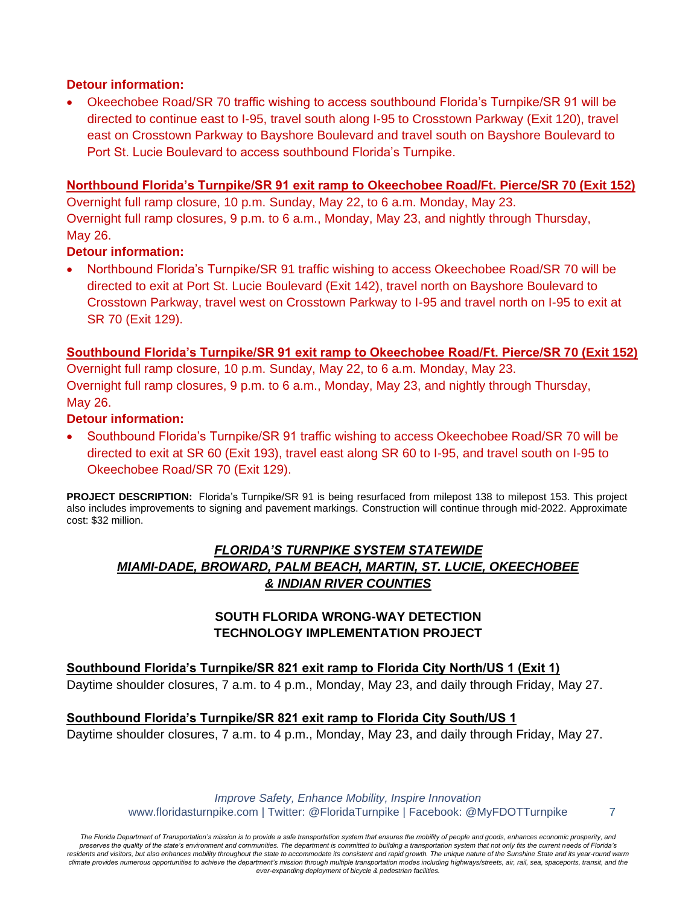#### **Detour information:**

• Okeechobee Road/SR 70 traffic wishing to access southbound Florida's Turnpike/SR 91 will be directed to continue east to I-95, travel south along I-95 to Crosstown Parkway (Exit 120), travel east on Crosstown Parkway to Bayshore Boulevard and travel south on Bayshore Boulevard to Port St. Lucie Boulevard to access southbound Florida's Turnpike.

#### **Northbound Florida's Turnpike/SR 91 exit ramp to Okeechobee Road/Ft. Pierce/SR 70 (Exit 152)**

Overnight full ramp closure, 10 p.m. Sunday, May 22, to 6 a.m. Monday, May 23. Overnight full ramp closures, 9 p.m. to 6 a.m., Monday, May 23, and nightly through Thursday, May 26.

### **Detour information:**

• Northbound Florida's Turnpike/SR 91 traffic wishing to access Okeechobee Road/SR 70 will be directed to exit at Port St. Lucie Boulevard (Exit 142), travel north on Bayshore Boulevard to Crosstown Parkway, travel west on Crosstown Parkway to I-95 and travel north on I-95 to exit at SR 70 (Exit 129).

#### **Southbound Florida's Turnpike/SR 91 exit ramp to Okeechobee Road/Ft. Pierce/SR 70 (Exit 152)**

Overnight full ramp closure, 10 p.m. Sunday, May 22, to 6 a.m. Monday, May 23. Overnight full ramp closures, 9 p.m. to 6 a.m., Monday, May 23, and nightly through Thursday, May 26.

#### **Detour information:**

• Southbound Florida's Turnpike/SR 91 traffic wishing to access Okeechobee Road/SR 70 will be directed to exit at SR 60 (Exit 193), travel east along SR 60 to I-95, and travel south on I-95 to Okeechobee Road/SR 70 (Exit 129).

PROJECT DESCRIPTION: Florida's Turnpike/SR 91 is being resurfaced from milepost 138 to milepost 153. This project also includes improvements to signing and pavement markings. Construction will continue through mid-2022. Approximate cost: \$32 million.

# *FLORIDA'S TURNPIKE SYSTEM STATEWIDE MIAMI-DADE, BROWARD, PALM BEACH, MARTIN, ST. LUCIE, OKEECHOBEE & INDIAN RIVER COUNTIES*

## **SOUTH FLORIDA WRONG-WAY DETECTION TECHNOLOGY IMPLEMENTATION PROJECT**

**Southbound Florida's Turnpike/SR 821 exit ramp to Florida City North/US 1 (Exit 1)** Daytime shoulder closures, 7 a.m. to 4 p.m., Monday, May 23, and daily through Friday, May 27.

#### **Southbound Florida's Turnpike/SR 821 exit ramp to Florida City South/US 1**

Daytime shoulder closures, 7 a.m. to 4 p.m., Monday, May 23, and daily through Friday, May 27.

*Improve Safety, Enhance Mobility, Inspire Innovation* www.floridasturnpike.com | Twitter: @FloridaTurnpike | Facebook: @MyFDOTTurnpike 7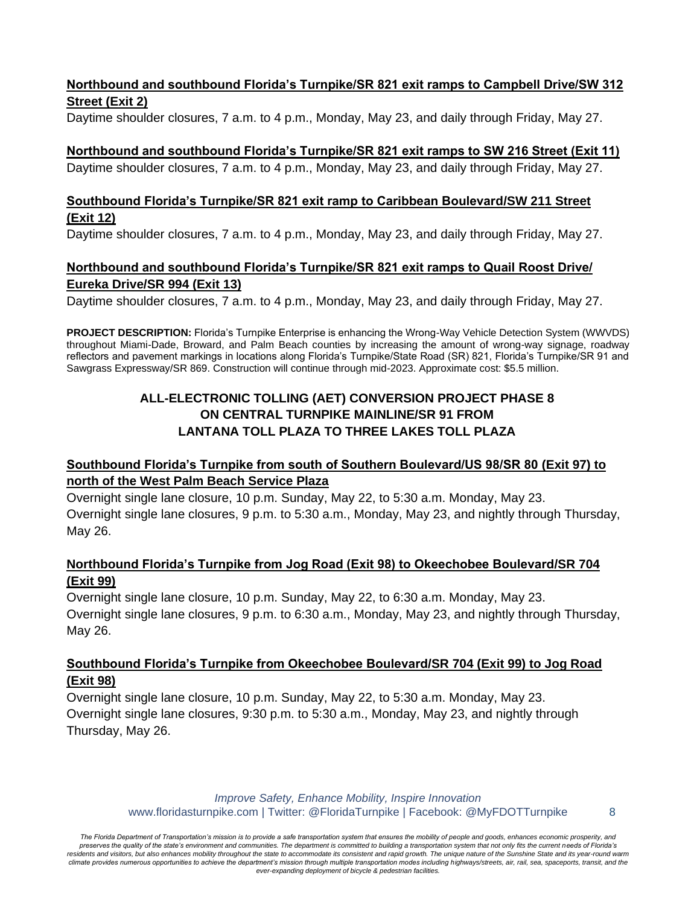## **Northbound and southbound Florida's Turnpike/SR 821 exit ramps to Campbell Drive/SW 312 Street (Exit 2)**

Daytime shoulder closures, 7 a.m. to 4 p.m., Monday, May 23, and daily through Friday, May 27.

## **Northbound and southbound Florida's Turnpike/SR 821 exit ramps to SW 216 Street (Exit 11)**

Daytime shoulder closures, 7 a.m. to 4 p.m., Monday, May 23, and daily through Friday, May 27.

## **Southbound Florida's Turnpike/SR 821 exit ramp to Caribbean Boulevard/SW 211 Street (Exit 12)**

Daytime shoulder closures, 7 a.m. to 4 p.m., Monday, May 23, and daily through Friday, May 27.

# **Northbound and southbound Florida's Turnpike/SR 821 exit ramps to Quail Roost Drive/ Eureka Drive/SR 994 (Exit 13)**

Daytime shoulder closures, 7 a.m. to 4 p.m., Monday, May 23, and daily through Friday, May 27.

**PROJECT DESCRIPTION:** Florida's Turnpike Enterprise is enhancing the Wrong-Way Vehicle Detection System (WWVDS) throughout Miami-Dade, Broward, and Palm Beach counties by increasing the amount of wrong-way signage, roadway reflectors and pavement markings in locations along Florida's Turnpike/State Road (SR) 821, Florida's Turnpike/SR 91 and Sawgrass Expressway/SR 869. Construction will continue through mid-2023. Approximate cost: \$5.5 million.

## **ALL-ELECTRONIC TOLLING (AET) CONVERSION PROJECT PHASE 8 ON CENTRAL TURNPIKE MAINLINE/SR 91 FROM LANTANA TOLL PLAZA TO THREE LAKES TOLL PLAZA**

# **Southbound Florida's Turnpike from south of Southern Boulevard/US 98/SR 80 (Exit 97) to north of the West Palm Beach Service Plaza**

Overnight single lane closure, 10 p.m. Sunday, May 22, to 5:30 a.m. Monday, May 23. Overnight single lane closures, 9 p.m. to 5:30 a.m., Monday, May 23, and nightly through Thursday, May 26.

## **Northbound Florida's Turnpike from Jog Road (Exit 98) to Okeechobee Boulevard/SR 704 (Exit 99)**

Overnight single lane closure, 10 p.m. Sunday, May 22, to 6:30 a.m. Monday, May 23. Overnight single lane closures, 9 p.m. to 6:30 a.m., Monday, May 23, and nightly through Thursday, May 26.

# **Southbound Florida's Turnpike from Okeechobee Boulevard/SR 704 (Exit 99) to Jog Road (Exit 98)**

Overnight single lane closure, 10 p.m. Sunday, May 22, to 5:30 a.m. Monday, May 23. Overnight single lane closures, 9:30 p.m. to 5:30 a.m., Monday, May 23, and nightly through Thursday, May 26.

> *Improve Safety, Enhance Mobility, Inspire Innovation* www.floridasturnpike.com | Twitter: @FloridaTurnpike | Facebook: @MyFDOTTurnpike 8